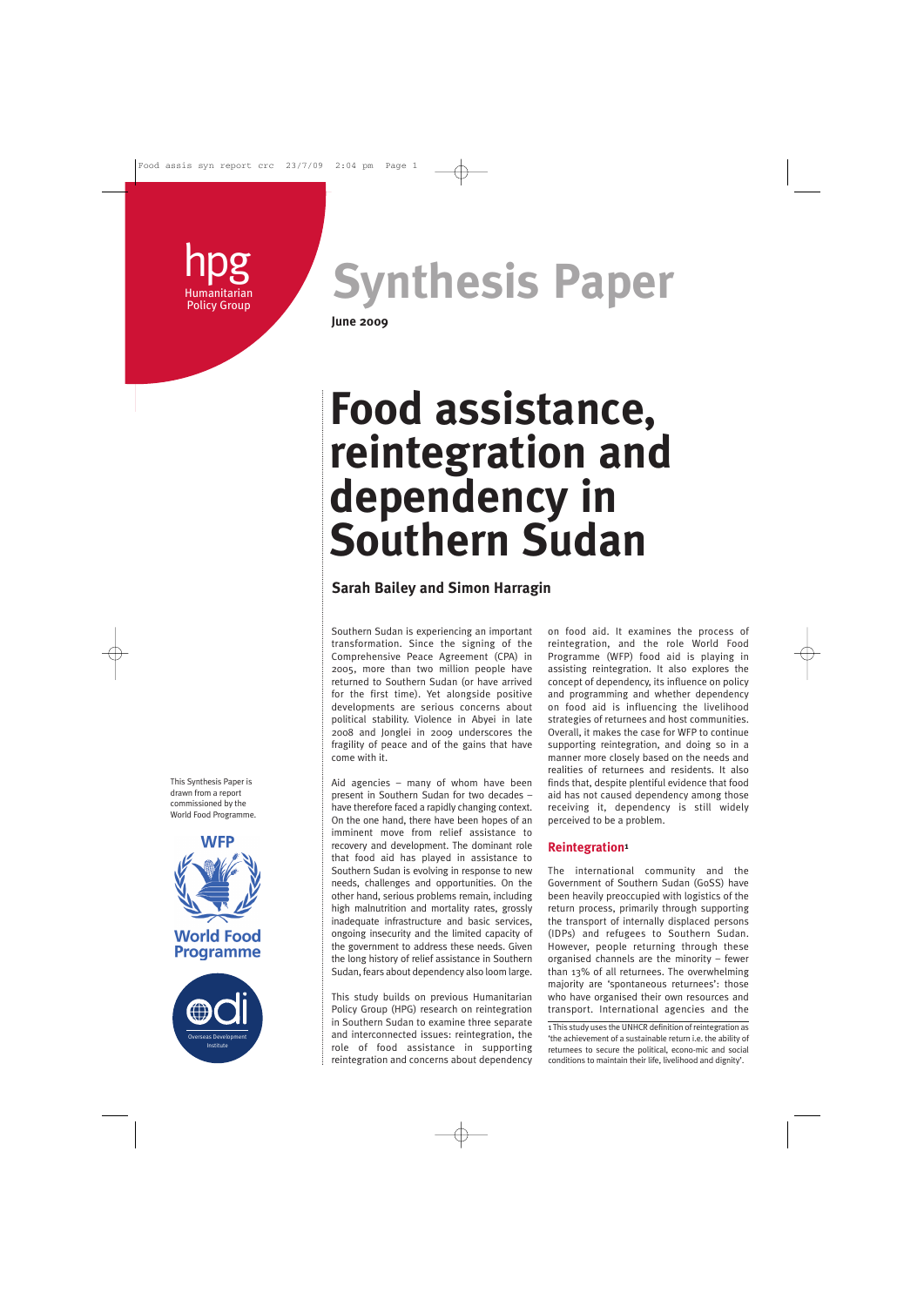hpg **Humanitarian** Policy Group

**Synthesis Paper**

**June 2009**

# **Food assistance, reintegration and dependency in Southern Sudan**

# **Sarah Bailey and Simon Harragin**

Southern Sudan is experiencing an important transformation. Since the signing of the Comprehensive Peace Agreement (CPA) in 2005, more than two million people have returned to Southern Sudan (or have arrived for the first time). Yet alongside positive developments are serious concerns about political stability. Violence in Abyei in late 2008 and Jonglei in 2009 underscores the fragility of peace and of the gains that have come with it.

Aid agencies – many of whom have been present in Southern Sudan for two decades – have therefore faced a rapidly changing context. On the one hand, there have been hopes of an imminent move from relief assistance to recovery and development. The dominant role that food aid has played in assistance to Southern Sudan is evolving in response to new needs, challenges and opportunities. On the other hand, serious problems remain, including high malnutrition and mortality rates, grossly inadequate infrastructure and basic services, ongoing insecurity and the limited capacity of the government to address these needs. Given the long history of relief assistance in Southern Sudan, fears about dependency also loom large.

This study builds on previous Humanitarian Policy Group (HPG) research on reintegration in Southern Sudan to examine three separate and interconnected issues: reintegration, the role of food assistance in supporting reintegration and concerns about dependency on food aid. It examines the process of reintegration, and the role World Food Programme (WFP) food aid is playing in assisting reintegration. It also explores the concept of dependency, its influence on policy and programming and whether dependency on food aid is influencing the livelihood strategies of returnees and host communities. Overall, it makes the case for WFP to continue supporting reintegration, and doing so in a manner more closely based on the needs and realities of returnees and residents. It also finds that, despite plentiful evidence that food aid has not caused dependency among those receiving it, dependency is still widely perceived to be a problem.

## **Reintegration1**

The international community and the Government of Southern Sudan (GoSS) have been heavily preoccupied with logistics of the return process, primarily through supporting the transport of internally displaced persons (IDPs) and refugees to Southern Sudan. However, people returning through these organised channels are the minority – fewer than 13% of all returnees. The overwhelming majority are 'spontaneous returnees': those who have organised their own resources and transport. International agencies and the

1 This study uses the UNHCR definition of reintegration as 'the achievement of a sustainable return i.e. the ability of returnees to secure the political, econo-mic and social conditions to maintain their life, livelihood and dignity'.

This Synthesis Paper is drawn from a report commissioned by the World Food Programme.



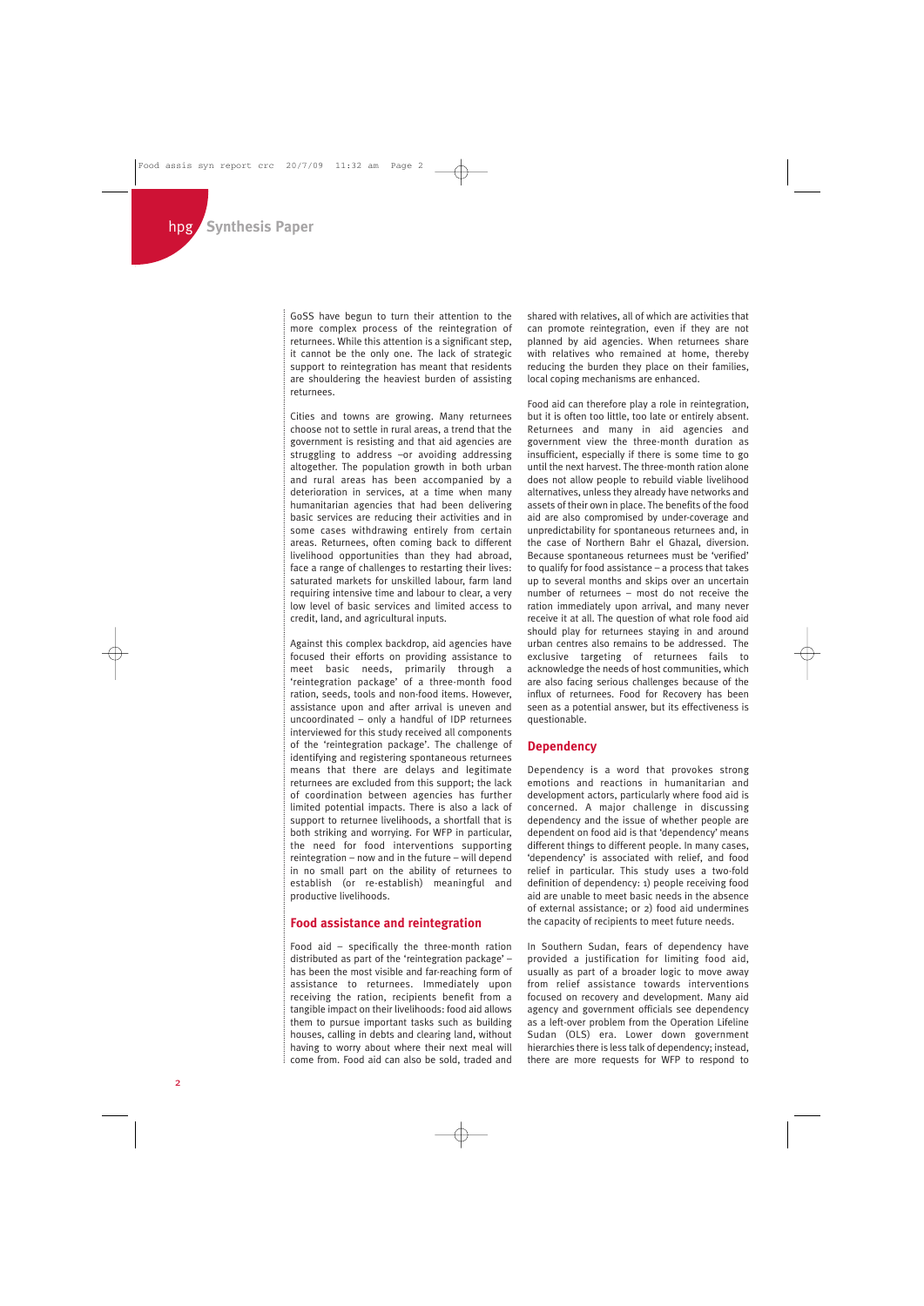GoSS have begun to turn their attention to the more complex process of the reintegration of returnees. While this attention is a significant step, it cannot be the only one. The lack of strategic support to reintegration has meant that residents are shouldering the heaviest burden of assisting returnees.

Cities and towns are growing. Many returnees choose not to settle in rural areas, a trend that the government is resisting and that aid agencies are struggling to address –or avoiding addressing altogether. The population growth in both urban and rural areas has been accompanied by a deterioration in services, at a time when many humanitarian agencies that had been delivering basic services are reducing their activities and in some cases withdrawing entirely from certain areas. Returnees, often coming back to different livelihood opportunities than they had abroad, face a range of challenges to restarting their lives: saturated markets for unskilled labour, farm land requiring intensive time and labour to clear, a very low level of basic services and limited access to credit, land, and agricultural inputs.

Against this complex backdrop, aid agencies have focused their efforts on providing assistance to meet basic needs, primarily through a 'reintegration package' of a three-month food ration, seeds, tools and non-food items. However, assistance upon and after arrival is uneven and uncoordinated – only a handful of IDP returnees interviewed for this study received all components of the 'reintegration package'. The challenge of identifying and registering spontaneous returnees means that there are delays and legitimate returnees are excluded from this support; the lack of coordination between agencies has further limited potential impacts. There is also a lack of support to returnee livelihoods, a shortfall that is both striking and worrying. For WFP in particular, the need for food interventions supporting reintegration – now and in the future – will depend in no small part on the ability of returnees to establish (or re-establish) meaningful and productive livelihoods.

#### **Food assistance and reintegration**

Food aid – specifically the three-month ration distributed as part of the 'reintegration package' – has been the most visible and far-reaching form of assistance to returnees. Immediately upon receiving the ration, recipients benefit from a tangible impact on their livelihoods: food aid allows them to pursue important tasks such as building houses, calling in debts and clearing land, without having to worry about where their next meal will come from. Food aid can also be sold, traded and shared with relatives, all of which are activities that can promote reintegration, even if they are not planned by aid agencies. When returnees share with relatives who remained at home, thereby reducing the burden they place on their families, local coping mechanisms are enhanced.

Food aid can therefore play a role in reintegration, but it is often too little, too late or entirely absent. Returnees and many in aid agencies and government view the three-month duration as insufficient, especially if there is some time to go until the next harvest. The three-month ration alone does not allow people to rebuild viable livelihood alternatives, unless they already have networks and assets of their own in place. The benefits of the food aid are also compromised by under-coverage and unpredictability for spontaneous returnees and, in the case of Northern Bahr el Ghazal, diversion. Because spontaneous returnees must be 'verified' to qualify for food assistance – a process that takes up to several months and skips over an uncertain number of returnees – most do not receive the ration immediately upon arrival, and many never receive it at all. The question of what role food aid should play for returnees staying in and around urban centres also remains to be addressed. The exclusive targeting of returnees fails to acknowledge the needs of host communities, which are also facing serious challenges because of the influx of returnees. Food for Recovery has been seen as a potential answer, but its effectiveness is questionable.

#### **Dependency**

Dependency is a word that provokes strong emotions and reactions in humanitarian and development actors, particularly where food aid is concerned. A major challenge in discussing dependency and the issue of whether people are dependent on food aid is that 'dependency' means different things to different people. In many cases, 'dependency' is associated with relief, and food relief in particular. This study uses a two-fold definition of dependency: 1) people receiving food aid are unable to meet basic needs in the absence of external assistance; or 2) food aid undermines the capacity of recipients to meet future needs.

In Southern Sudan, fears of dependency have provided a justification for limiting food aid, usually as part of a broader logic to move away from relief assistance towards interventions focused on recovery and development. Many aid agency and government officials see dependency as a left-over problem from the Operation Lifeline Sudan (OLS) era. Lower down government hierarchies there is less talk of dependency; instead, there are more requests for WFP to respond to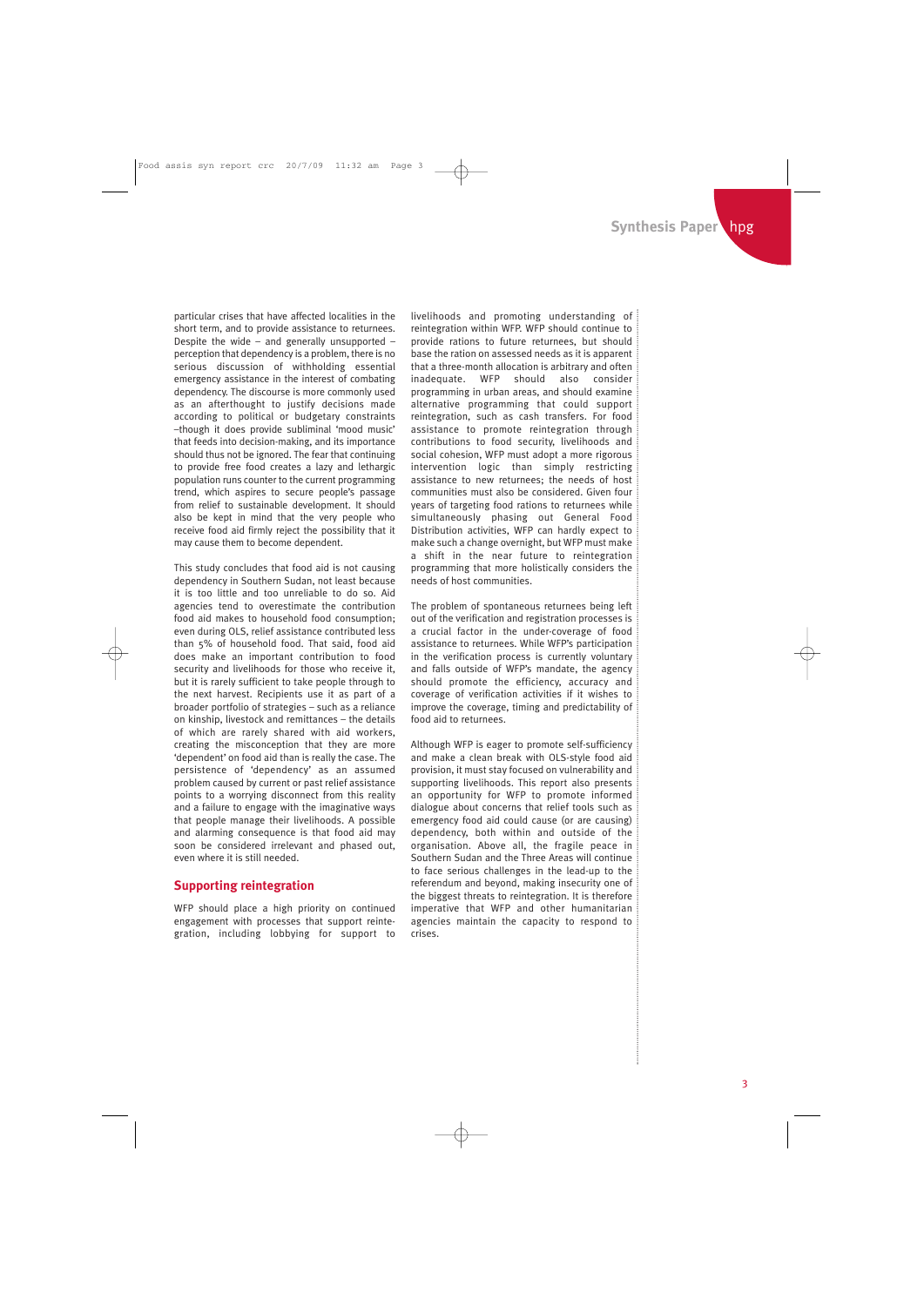particular crises that have affected localities in the short term, and to provide assistance to returnees. Despite the wide – and generally unsupported – perception that dependency is a problem, there is no serious discussion of withholding essential emergency assistance in the interest of combating dependency. The discourse is more commonly used as an afterthought to justify decisions made according to political or budgetary constraints –though it does provide subliminal 'mood music' that feeds into decision-making, and its importance should thus not be ignored. The fear that continuing to provide free food creates a lazy and lethargic population runs counter to the current programming trend, which aspires to secure people's passage from relief to sustainable development. It should also be kept in mind that the very people who receive food aid firmly reject the possibility that it may cause them to become dependent.

This study concludes that food aid is not causing dependency in Southern Sudan, not least because it is too little and too unreliable to do so. Aid agencies tend to overestimate the contribution food aid makes to household food consumption; even during OLS, relief assistance contributed less than 5% of household food. That said, food aid does make an important contribution to food security and livelihoods for those who receive it, but it is rarely sufficient to take people through to the next harvest. Recipients use it as part of a broader portfolio of strategies – such as a reliance on kinship, livestock and remittances – the details of which are rarely shared with aid workers, creating the misconception that they are more 'dependent' on food aid than is really the case. The persistence of 'dependency' as an assumed problem caused by current or past relief assistance points to a worrying disconnect from this reality and a failure to engage with the imaginative ways that people manage their livelihoods. A possible and alarming consequence is that food aid may soon be considered irrelevant and phased out, even where it is still needed.

### **Supporting reintegration**

WFP should place a high priority on continued engagement with processes that support reintegration, including lobbying for support to livelihoods and promoting understanding of reintegration within WFP. WFP should continue to provide rations to future returnees, but should base the ration on assessed needs as it is apparent that a three-month allocation is arbitrary and often<br>inadequate. WFP should also consider inadequate. WFP should also consider programming in urban areas, and should examine alternative programming that could support reintegration, such as cash transfers. For food assistance to promote reintegration through contributions to food security, livelihoods and social cohesion, WFP must adopt a more rigorous intervention logic than simply restricting assistance to new returnees; the needs of host communities must also be considered. Given four years of targeting food rations to returnees while simultaneously phasing out General Food Distribution activities, WFP can hardly expect to make such a change overnight, but WFP must make a shift in the near future to reintegration programming that more holistically considers the needs of host communities.

The problem of spontaneous returnees being left out of the verification and registration processes is a crucial factor in the under-coverage of food assistance to returnees. While WFP's participation in the verification process is currently voluntary and falls outside of WFP's mandate, the agency should promote the efficiency, accuracy and coverage of verification activities if it wishes to improve the coverage, timing and predictability of food aid to returnees.

Although WFP is eager to promote self-sufficiency and make a clean break with OLS-style food aid provision, it must stay focused on vulnerability and supporting livelihoods. This report also presents an opportunity for WFP to promote informed dialogue about concerns that relief tools such as emergency food aid could cause (or are causing) dependency, both within and outside of the organisation. Above all, the fragile peace in Southern Sudan and the Three Areas will continue to face serious challenges in the lead-up to the referendum and beyond, making insecurity one of the biggest threats to reintegration. It is therefore imperative that WFP and other humanitarian agencies maintain the capacity to respond to crises.